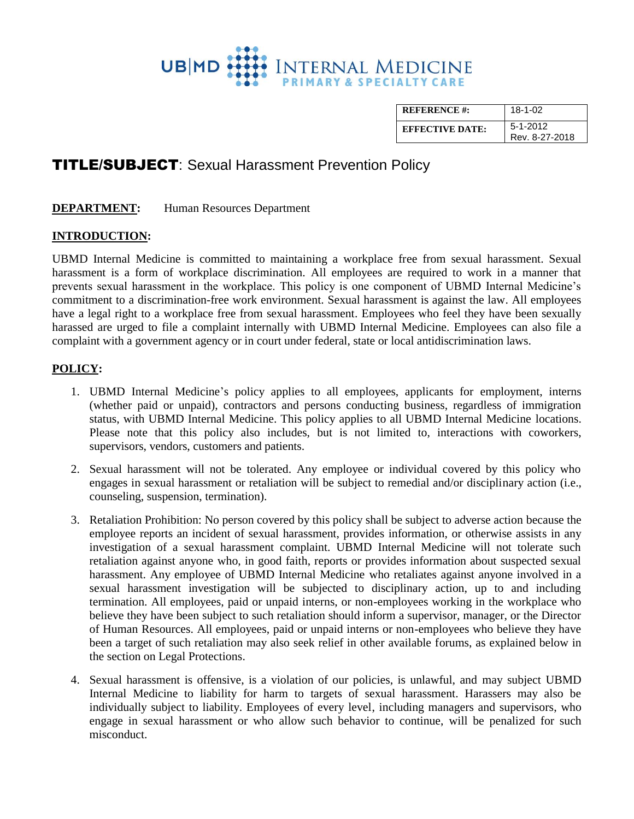## **UB**MD **INTERNAL MEDICINE PRIMARY & SPECIALTY CARE**

| <b>REFERENCE #:</b>    | 18-1-02                          |
|------------------------|----------------------------------|
| <b>EFFECTIVE DATE:</b> | $5 - 1 - 2012$<br>Rev. 8-27-2018 |

# TITLE/SUBJECT: Sexual Harassment Prevention Policy

## **DEPARTMENT:** Human Resources Department

## **INTRODUCTION:**

UBMD Internal Medicine is committed to maintaining a workplace free from sexual harassment. Sexual harassment is a form of workplace discrimination. All employees are required to work in a manner that prevents sexual harassment in the workplace. This policy is one component of UBMD Internal Medicine's commitment to a discrimination-free work environment. Sexual harassment is against the law. All employees have a legal right to a workplace free from sexual harassment. Employees who feel they have been sexually harassed are urged to file a complaint internally with UBMD Internal Medicine. Employees can also file a complaint with a government agency or in court under federal, state or local antidiscrimination laws.

## **POLICY:**

- 1. UBMD Internal Medicine's policy applies to all employees, applicants for employment, interns (whether paid or unpaid), contractors and persons conducting business, regardless of immigration status, with UBMD Internal Medicine. This policy applies to all UBMD Internal Medicine locations. Please note that this policy also includes, but is not limited to, interactions with coworkers, supervisors, vendors, customers and patients.
- 2. Sexual harassment will not be tolerated. Any employee or individual covered by this policy who engages in sexual harassment or retaliation will be subject to remedial and/or disciplinary action (i.e., counseling, suspension, termination).
- 3. Retaliation Prohibition: No person covered by this policy shall be subject to adverse action because the employee reports an incident of sexual harassment, provides information, or otherwise assists in any investigation of a sexual harassment complaint. UBMD Internal Medicine will not tolerate such retaliation against anyone who, in good faith, reports or provides information about suspected sexual harassment. Any employee of UBMD Internal Medicine who retaliates against anyone involved in a sexual harassment investigation will be subjected to disciplinary action, up to and including termination. All employees, paid or unpaid interns, or non-employees working in the workplace who believe they have been subject to such retaliation should inform a supervisor, manager, or the Director of Human Resources. All employees, paid or unpaid interns or non-employees who believe they have been a target of such retaliation may also seek relief in other available forums, as explained below in the section on Legal Protections.
- 4. Sexual harassment is offensive, is a violation of our policies, is unlawful, and may subject UBMD Internal Medicine to liability for harm to targets of sexual harassment. Harassers may also be individually subject to liability. Employees of every level, including managers and supervisors, who engage in sexual harassment or who allow such behavior to continue, will be penalized for such misconduct.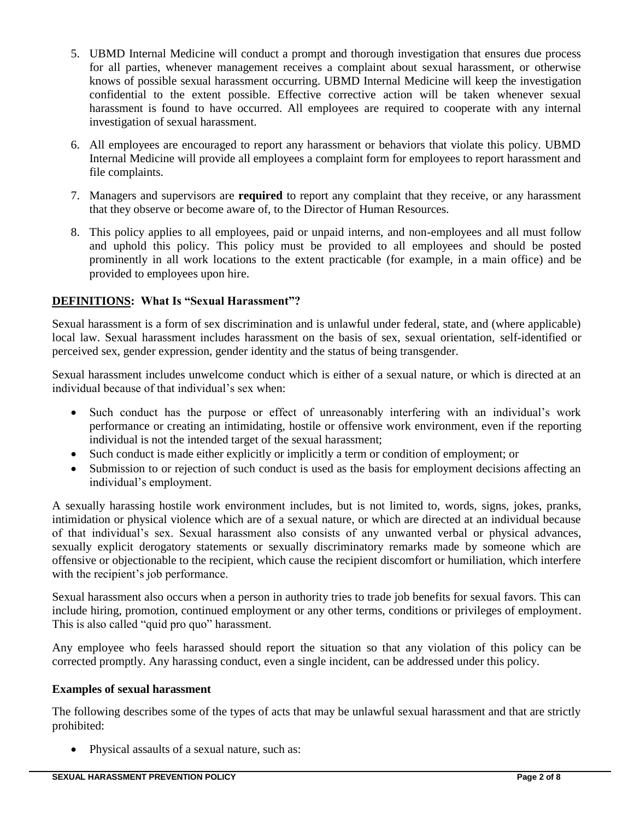- 5. UBMD Internal Medicine will conduct a prompt and thorough investigation that ensures due process for all parties, whenever management receives a complaint about sexual harassment, or otherwise knows of possible sexual harassment occurring. UBMD Internal Medicine will keep the investigation confidential to the extent possible. Effective corrective action will be taken whenever sexual harassment is found to have occurred. All employees are required to cooperate with any internal investigation of sexual harassment.
- 6. All employees are encouraged to report any harassment or behaviors that violate this policy. UBMD Internal Medicine will provide all employees a complaint form for employees to report harassment and file complaints.
- 7. Managers and supervisors are **required** to report any complaint that they receive, or any harassment that they observe or become aware of, to the Director of Human Resources.
- 8. This policy applies to all employees, paid or unpaid interns, and non-employees and all must follow and uphold this policy. This policy must be provided to all employees and should be posted prominently in all work locations to the extent practicable (for example, in a main office) and be provided to employees upon hire.

## **DEFINITIONS: What Is "Sexual Harassment"?**

Sexual harassment is a form of sex discrimination and is unlawful under federal, state, and (where applicable) local law. Sexual harassment includes harassment on the basis of sex, sexual orientation, self-identified or perceived sex, gender expression, gender identity and the status of being transgender.

Sexual harassment includes unwelcome conduct which is either of a sexual nature, or which is directed at an individual because of that individual's sex when:

- Such conduct has the purpose or effect of unreasonably interfering with an individual's work performance or creating an intimidating, hostile or offensive work environment, even if the reporting individual is not the intended target of the sexual harassment;
- Such conduct is made either explicitly or implicitly a term or condition of employment; or
- Submission to or rejection of such conduct is used as the basis for employment decisions affecting an individual's employment.

A sexually harassing hostile work environment includes, but is not limited to, words, signs, jokes, pranks, intimidation or physical violence which are of a sexual nature, or which are directed at an individual because of that individual's sex. Sexual harassment also consists of any unwanted verbal or physical advances, sexually explicit derogatory statements or sexually discriminatory remarks made by someone which are offensive or objectionable to the recipient, which cause the recipient discomfort or humiliation, which interfere with the recipient's job performance.

Sexual harassment also occurs when a person in authority tries to trade job benefits for sexual favors. This can include hiring, promotion, continued employment or any other terms, conditions or privileges of employment. This is also called "quid pro quo" harassment.

Any employee who feels harassed should report the situation so that any violation of this policy can be corrected promptly. Any harassing conduct, even a single incident, can be addressed under this policy.

#### **Examples of sexual harassment**

The following describes some of the types of acts that may be unlawful sexual harassment and that are strictly prohibited:

• Physical assaults of a sexual nature, such as: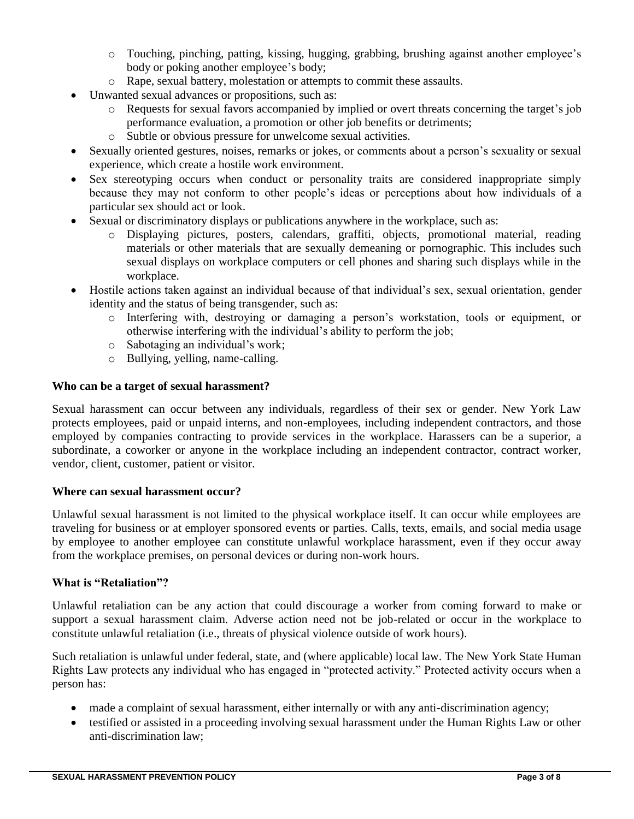- o Touching, pinching, patting, kissing, hugging, grabbing, brushing against another employee's body or poking another employee's body;
- o Rape, sexual battery, molestation or attempts to commit these assaults.
- Unwanted sexual advances or propositions, such as:
	- o Requests for sexual favors accompanied by implied or overt threats concerning the target's job performance evaluation, a promotion or other job benefits or detriments;
	- o Subtle or obvious pressure for unwelcome sexual activities.
- Sexually oriented gestures, noises, remarks or jokes, or comments about a person's sexuality or sexual experience, which create a hostile work environment.
- Sex stereotyping occurs when conduct or personality traits are considered inappropriate simply because they may not conform to other people's ideas or perceptions about how individuals of a particular sex should act or look.
- Sexual or discriminatory displays or publications anywhere in the workplace, such as:
	- o Displaying pictures, posters, calendars, graffiti, objects, promotional material, reading materials or other materials that are sexually demeaning or pornographic. This includes such sexual displays on workplace computers or cell phones and sharing such displays while in the workplace.
- Hostile actions taken against an individual because of that individual's sex, sexual orientation, gender identity and the status of being transgender, such as:
	- o Interfering with, destroying or damaging a person's workstation, tools or equipment, or otherwise interfering with the individual's ability to perform the job;
	- o Sabotaging an individual's work;
	- o Bullying, yelling, name-calling.

## **Who can be a target of sexual harassment?**

Sexual harassment can occur between any individuals, regardless of their sex or gender. New York Law protects employees, paid or unpaid interns, and non-employees, including independent contractors, and those employed by companies contracting to provide services in the workplace. Harassers can be a superior, a subordinate, a coworker or anyone in the workplace including an independent contractor, contract worker, vendor, client, customer, patient or visitor.

#### **Where can sexual harassment occur?**

Unlawful sexual harassment is not limited to the physical workplace itself. It can occur while employees are traveling for business or at employer sponsored events or parties. Calls, texts, emails, and social media usage by employee to another employee can constitute unlawful workplace harassment, even if they occur away from the workplace premises, on personal devices or during non-work hours.

## **What is "Retaliation"?**

Unlawful retaliation can be any action that could discourage a worker from coming forward to make or support a sexual harassment claim. Adverse action need not be job-related or occur in the workplace to constitute unlawful retaliation (i.e., threats of physical violence outside of work hours).

Such retaliation is unlawful under federal, state, and (where applicable) local law. The New York State Human Rights Law protects any individual who has engaged in "protected activity." Protected activity occurs when a person has:

- made a complaint of sexual harassment, either internally or with any anti-discrimination agency;
- testified or assisted in a proceeding involving sexual harassment under the Human Rights Law or other anti-discrimination law;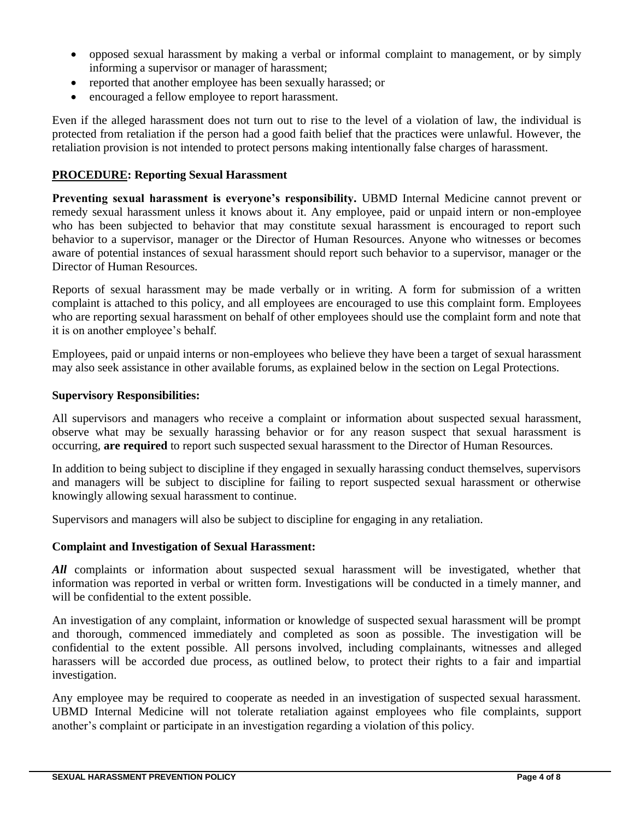- opposed sexual harassment by making a verbal or informal complaint to management, or by simply informing a supervisor or manager of harassment;
- reported that another employee has been sexually harassed; or
- encouraged a fellow employee to report harassment.

Even if the alleged harassment does not turn out to rise to the level of a violation of law, the individual is protected from retaliation if the person had a good faith belief that the practices were unlawful. However, the retaliation provision is not intended to protect persons making intentionally false charges of harassment.

## **PROCEDURE: Reporting Sexual Harassment**

**Preventing sexual harassment is everyone's responsibility.** UBMD Internal Medicine cannot prevent or remedy sexual harassment unless it knows about it. Any employee, paid or unpaid intern or non-employee who has been subjected to behavior that may constitute sexual harassment is encouraged to report such behavior to a supervisor, manager or the Director of Human Resources. Anyone who witnesses or becomes aware of potential instances of sexual harassment should report such behavior to a supervisor, manager or the Director of Human Resources.

Reports of sexual harassment may be made verbally or in writing. A form for submission of a written complaint is attached to this policy, and all employees are encouraged to use this complaint form. Employees who are reporting sexual harassment on behalf of other employees should use the complaint form and note that it is on another employee's behalf.

Employees, paid or unpaid interns or non-employees who believe they have been a target of sexual harassment may also seek assistance in other available forums, as explained below in the section on Legal Protections.

## **Supervisory Responsibilities:**

All supervisors and managers who receive a complaint or information about suspected sexual harassment, observe what may be sexually harassing behavior or for any reason suspect that sexual harassment is occurring, **are required** to report such suspected sexual harassment to the Director of Human Resources.

In addition to being subject to discipline if they engaged in sexually harassing conduct themselves, supervisors and managers will be subject to discipline for failing to report suspected sexual harassment or otherwise knowingly allowing sexual harassment to continue.

Supervisors and managers will also be subject to discipline for engaging in any retaliation.

## **Complaint and Investigation of Sexual Harassment:**

*All* complaints or information about suspected sexual harassment will be investigated, whether that information was reported in verbal or written form. Investigations will be conducted in a timely manner, and will be confidential to the extent possible.

An investigation of any complaint, information or knowledge of suspected sexual harassment will be prompt and thorough, commenced immediately and completed as soon as possible. The investigation will be confidential to the extent possible. All persons involved, including complainants, witnesses and alleged harassers will be accorded due process, as outlined below, to protect their rights to a fair and impartial investigation.

Any employee may be required to cooperate as needed in an investigation of suspected sexual harassment. UBMD Internal Medicine will not tolerate retaliation against employees who file complaints, support another's complaint or participate in an investigation regarding a violation of this policy.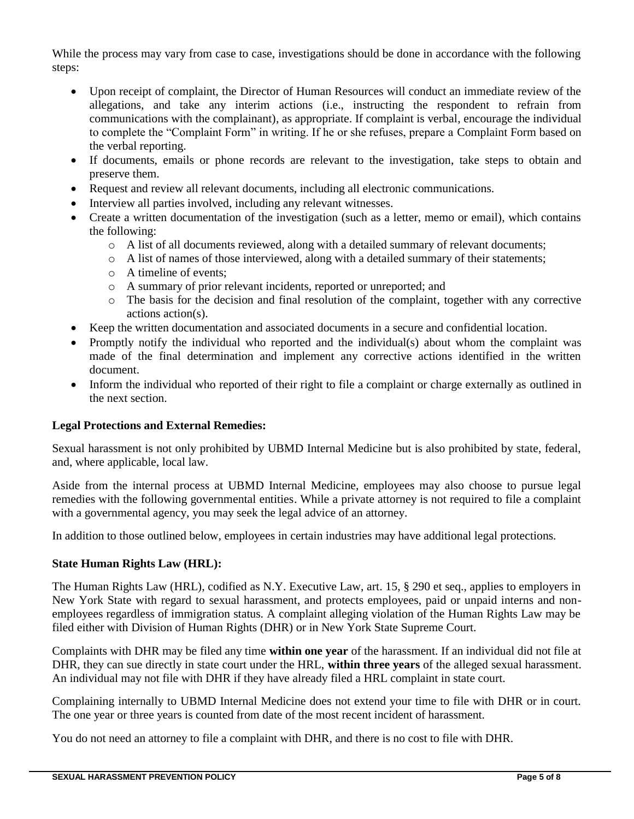While the process may vary from case to case, investigations should be done in accordance with the following steps:

- Upon receipt of complaint, the Director of Human Resources will conduct an immediate review of the allegations, and take any interim actions (i.e., instructing the respondent to refrain from communications with the complainant), as appropriate. If complaint is verbal, encourage the individual to complete the "Complaint Form" in writing. If he or she refuses, prepare a Complaint Form based on the verbal reporting.
- If documents, emails or phone records are relevant to the investigation, take steps to obtain and preserve them.
- Request and review all relevant documents, including all electronic communications.
- Interview all parties involved, including any relevant witnesses.
- Create a written documentation of the investigation (such as a letter, memo or email), which contains the following:
	- o A list of all documents reviewed, along with a detailed summary of relevant documents;
	- $\circ$  A list of names of those interviewed, along with a detailed summary of their statements;
	- o A timeline of events;
	- o A summary of prior relevant incidents, reported or unreported; and
	- o The basis for the decision and final resolution of the complaint, together with any corrective actions action(s).
- Keep the written documentation and associated documents in a secure and confidential location.
- Promptly notify the individual who reported and the individual(s) about whom the complaint was made of the final determination and implement any corrective actions identified in the written document.
- Inform the individual who reported of their right to file a complaint or charge externally as outlined in the next section.

## **Legal Protections and External Remedies:**

Sexual harassment is not only prohibited by UBMD Internal Medicine but is also prohibited by state, federal, and, where applicable, local law.

Aside from the internal process at UBMD Internal Medicine, employees may also choose to pursue legal remedies with the following governmental entities. While a private attorney is not required to file a complaint with a governmental agency, you may seek the legal advice of an attorney.

In addition to those outlined below, employees in certain industries may have additional legal protections.

## **State Human Rights Law (HRL):**

The Human Rights Law (HRL), codified as N.Y. Executive Law, art. 15, § 290 et seq., applies to employers in New York State with regard to sexual harassment, and protects employees, paid or unpaid interns and nonemployees regardless of immigration status. A complaint alleging violation of the Human Rights Law may be filed either with Division of Human Rights (DHR) or in New York State Supreme Court.

Complaints with DHR may be filed any time **within one year** of the harassment. If an individual did not file at DHR, they can sue directly in state court under the HRL, **within three years** of the alleged sexual harassment. An individual may not file with DHR if they have already filed a HRL complaint in state court.

Complaining internally to UBMD Internal Medicine does not extend your time to file with DHR or in court. The one year or three years is counted from date of the most recent incident of harassment.

You do not need an attorney to file a complaint with DHR, and there is no cost to file with DHR.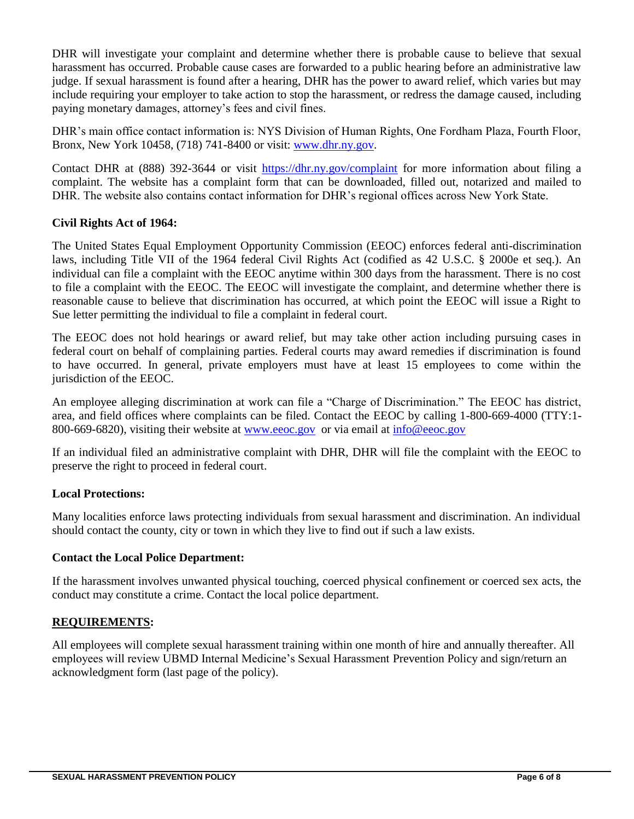DHR will investigate your complaint and determine whether there is probable cause to believe that sexual harassment has occurred. Probable cause cases are forwarded to a public hearing before an administrative law judge. If sexual harassment is found after a hearing, DHR has the power to award relief, which varies but may include requiring your employer to take action to stop the harassment, or redress the damage caused, including paying monetary damages, attorney's fees and civil fines.

DHR's main office contact information is: NYS Division of Human Rights, One Fordham Plaza, Fourth Floor, Bronx, New York 10458, (718) 741-8400 or visit: [www.dhr.ny.gov.](http://www.dhr.ny.gov/)

Contact DHR at (888) 392-3644 or visit <https://dhr.ny.gov/complaint> for more information about filing a complaint. The website has a complaint form that can be downloaded, filled out, notarized and mailed to DHR. The website also contains contact information for DHR's regional offices across New York State.

## **Civil Rights Act of 1964:**

The United States Equal Employment Opportunity Commission (EEOC) enforces federal anti-discrimination laws, including Title VII of the 1964 federal Civil Rights Act (codified as 42 U.S.C. § 2000e et seq.). An individual can file a complaint with the EEOC anytime within 300 days from the harassment. There is no cost to file a complaint with the EEOC. The EEOC will investigate the complaint, and determine whether there is reasonable cause to believe that discrimination has occurred, at which point the EEOC will issue a Right to Sue letter permitting the individual to file a complaint in federal court.

The EEOC does not hold hearings or award relief, but may take other action including pursuing cases in federal court on behalf of complaining parties. Federal courts may award remedies if discrimination is found to have occurred. In general, private employers must have at least 15 employees to come within the jurisdiction of the EEOC.

An employee alleging discrimination at work can file a "Charge of Discrimination." The EEOC has district, area, and field offices where complaints can be filed. Contact the EEOC by calling 1-800-669-4000 (TTY:1- 800-669-6820), visiting their website at [www.eeoc.gov](http://www.eeoc.gov/) or via email at [info@eeoc.gov](mailto:info@eeoc.gov)

If an individual filed an administrative complaint with DHR, DHR will file the complaint with the EEOC to preserve the right to proceed in federal court.

## **Local Protections:**

Many localities enforce laws protecting individuals from sexual harassment and discrimination. An individual should contact the county, city or town in which they live to find out if such a law exists.

## **Contact the Local Police Department:**

If the harassment involves unwanted physical touching, coerced physical confinement or coerced sex acts, the conduct may constitute a crime. Contact the local police department.

## **REQUIREMENTS:**

All employees will complete sexual harassment training within one month of hire and annually thereafter. All employees will review UBMD Internal Medicine's Sexual Harassment Prevention Policy and sign/return an acknowledgment form (last page of the policy).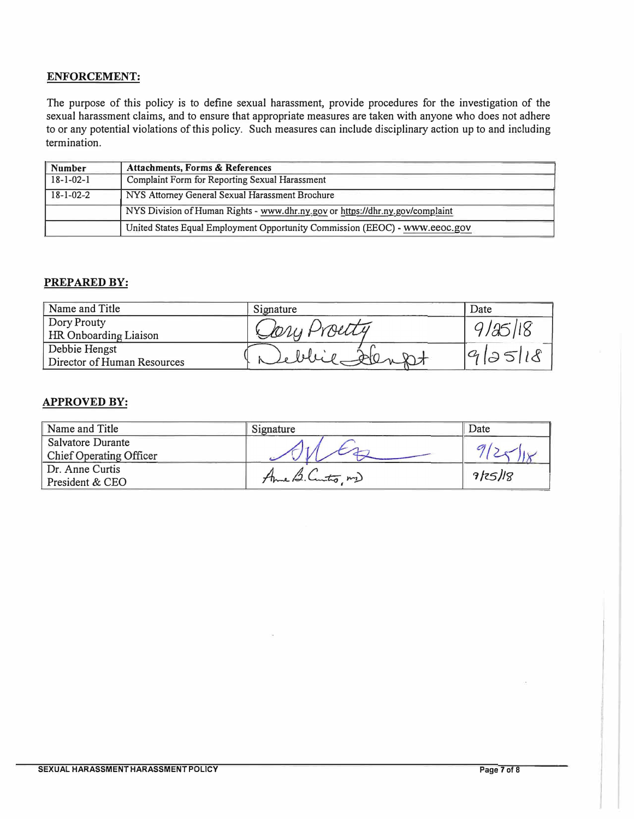## **ENFORCEMENT:**

The purpose of this policy is to define sexual harassment, provide procedures for the investigation of the sexual harassment claims, and to ensure that appropriate measures are taken with anyone who does not adhere to or any potential violations of this policy. Such measures can include disciplinary action up to and including termination.

| Number            | <b>Attachments, Forms &amp; References</b>                                    |
|-------------------|-------------------------------------------------------------------------------|
| $18 - 1 - 02 - 1$ | Complaint Form for Reporting Sexual Harassment                                |
| $18 - 1 - 02 - 2$ | NYS Attorney General Sexual Harassment Brochure                               |
|                   | NYS Division of Human Rights - www.dhr.ny.gov or https://dhr.ny.gov/complaint |
|                   | United States Equal Employment Opportunity Commission (EEOC) - www.eeoc.gov   |

#### **PREPARED BY:**

| Name and Title                               | Signature | Date |
|----------------------------------------------|-----------|------|
| Dory Prouty<br>HR Onboarding Liaison         | Delly     |      |
| Debbie Hengst<br>Director of Human Resources |           |      |

#### **APPROVED BY:**

| Name and Title                 | Signature         | Date    |
|--------------------------------|-------------------|---------|
| Salvatore Durante              |                   |         |
| <b>Chief Operating Officer</b> |                   |         |
| Dr. Anne Curtis                |                   |         |
| President & CEO                | Anne B. Cunto, m) | 9/25/18 |